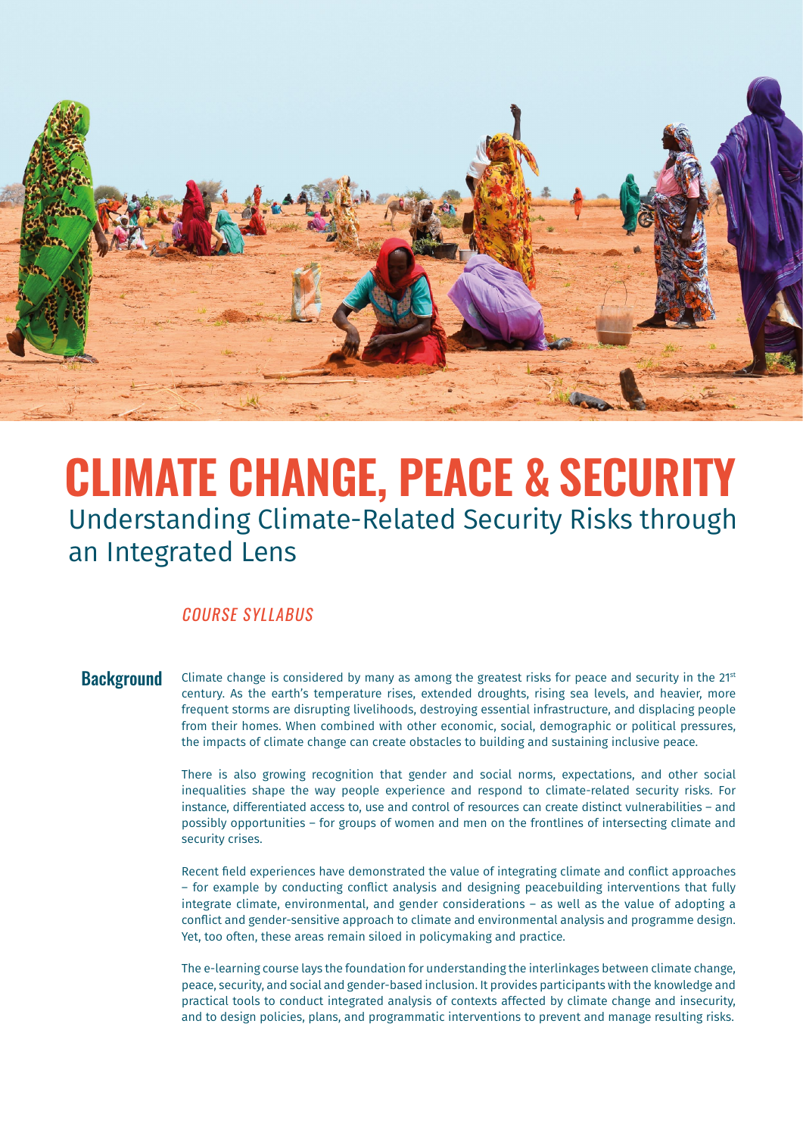

# **CLIMATE CHANGE, PEACE & SECURITY** Understanding Climate-Related Security Risks through an Integrated Lens

# COURSE SYLLABUS

**Background** Climate change is considered by many as among the greatest risks for peace and security in the 21st century. As the earth's temperature rises, extended droughts, rising sea levels, and heavier, more frequent storms are disrupting livelihoods, destroying essential infrastructure, and displacing people from their homes. When combined with other economic, social, demographic or political pressures, the impacts of climate change can create obstacles to building and sustaining inclusive peace.

> There is also growing recognition that gender and social norms, expectations, and other social inequalities shape the way people experience and respond to climate-related security risks. For instance, differentiated access to, use and control of resources can create distinct vulnerabilities – and possibly opportunities – for groups of women and men on the frontlines of intersecting climate and security crises.

> Recent field experiences have demonstrated the value of integrating climate and conflict approaches – for example by conducting conflict analysis and designing peacebuilding interventions that fully integrate climate, environmental, and gender considerations – as well as the value of adopting a conflict and gender-sensitive approach to climate and environmental analysis and programme design. Yet, too often, these areas remain siloed in policymaking and practice.

> The e-learning course lays the foundation for understanding the interlinkages between climate change, peace, security, and social and gender-based inclusion. It provides participants with the knowledge and practical tools to conduct integrated analysis of contexts affected by climate change and insecurity, and to design policies, plans, and programmatic interventions to prevent and manage resulting risks.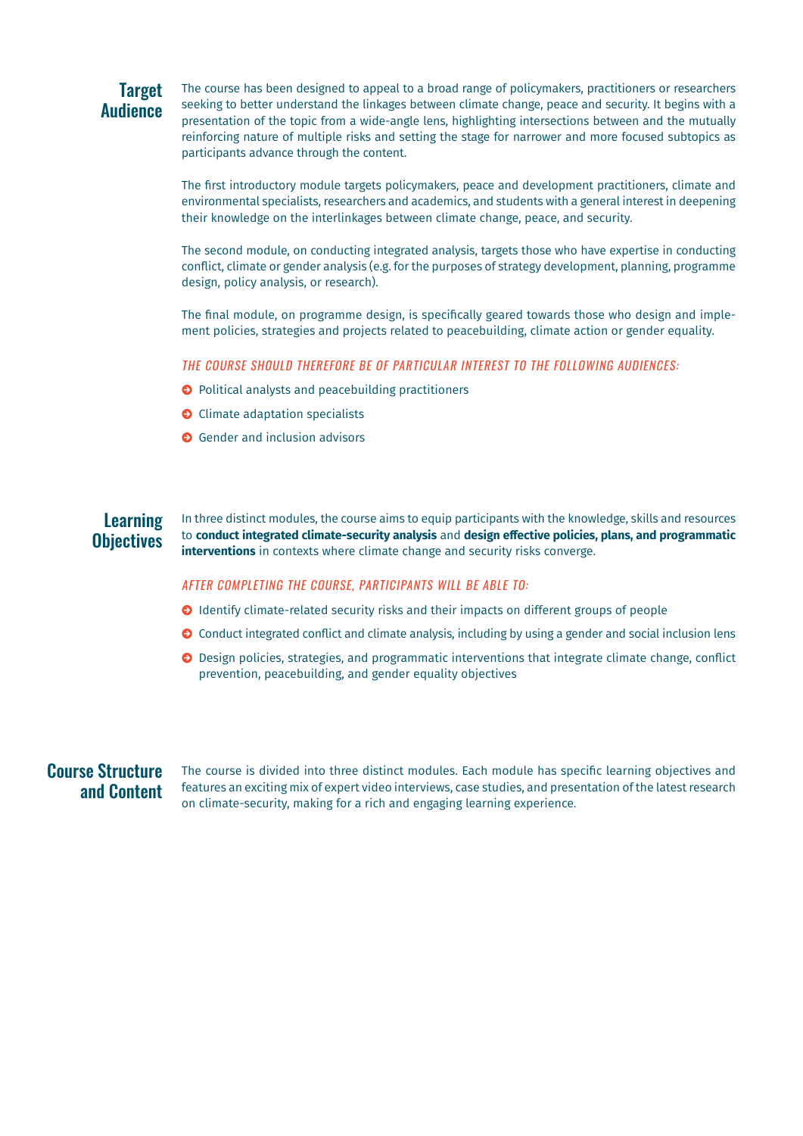# **Target Audience**

The course has been designed to appeal to a broad range of policymakers, practitioners or researchers seeking to better understand the linkages between climate change, peace and security. It begins with a presentation of the topic from a wide-angle lens, highlighting intersections between and the mutually reinforcing nature of multiple risks and setting the stage for narrower and more focused subtopics as participants advance through the content.

The first introductory module targets policymakers, peace and development practitioners, climate and environmental specialists, researchers and academics, and students with a general interest in deepening their knowledge on the interlinkages between climate change, peace, and security.

The second module, on conducting integrated analysis, targets those who have expertise in conducting conflict, climate or gender analysis (e.g. for the purposes of strategy development, planning, programme design, policy analysis, or research).

The final module, on programme design, is specifically geared towards those who design and implement policies, strategies and projects related to peacebuilding, climate action or gender equality.

THE COURSE SHOULD THEREFORE BE OF PARTICULAR INTEREST TO THE FOLLOWING AUDIENCES:

- (->) Political analysts and peacebuilding practitioners
- $\bullet$  Climate adaptation specialists
- **O** Gender and inclusion advisors

#### **Learning Objectives** In three distinct modules, the course aims to equip participants with the knowledge, skills and resources to **conduct integrated climate-security analysis** and **design effective policies, plans, and programmatic interventions** in contexts where climate change and security risks converge.

#### AFTER COMPLETING THE COURSE, PARTICIPANTS WILL BE ABLE TO:

- (->) Identify climate-related security risks and their impacts on different groups of people
- $\odot$  Conduct integrated conflict and climate analysis, including by using a gender and social inclusion lens
- $\odot$  Design policies, strategies, and programmatic interventions that integrate climate change, conflict prevention, peacebuilding, and gender equality objectives

## Course Structure and Content

The course is divided into three distinct modules. Each module has specific learning objectives and features an exciting mix of expert video interviews, case studies, and presentation of the latest research on climate-security, making for a rich and engaging learning experience.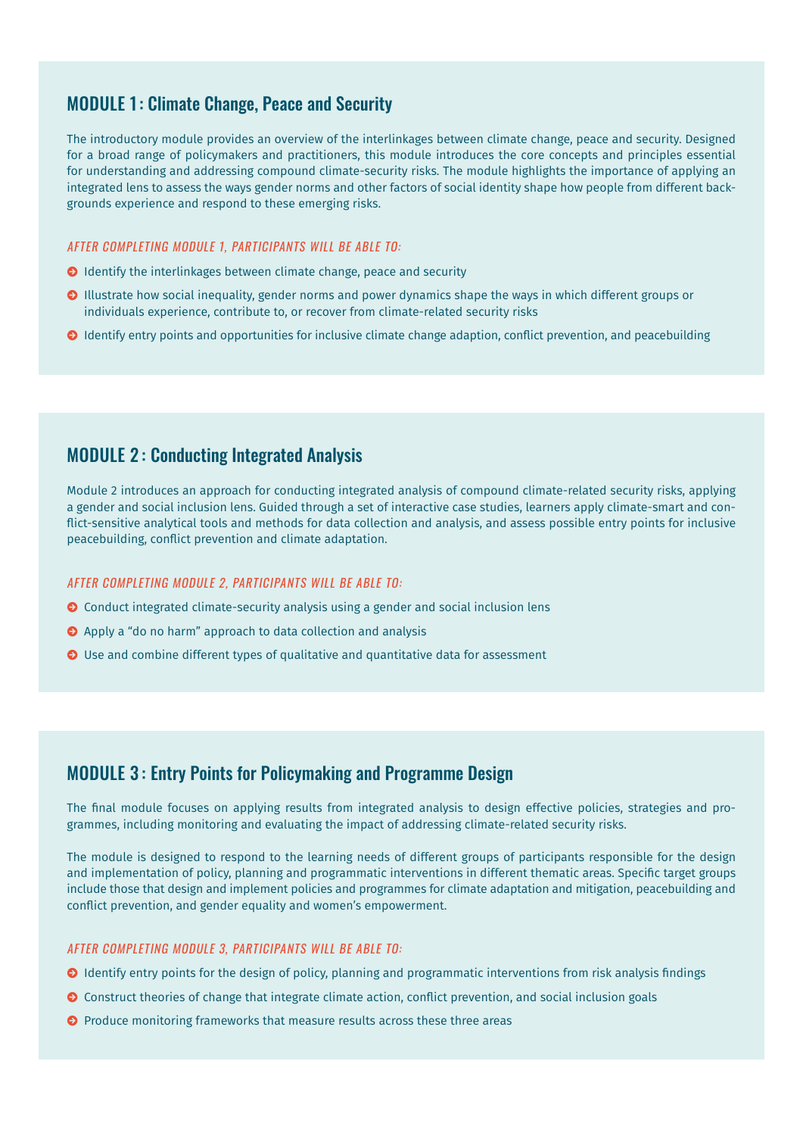# MODULE 1: Climate Change, Peace and Security

The introductory module provides an overview of the interlinkages between climate change, peace and security. Designed for a broad range of policymakers and practitioners, this module introduces the core concepts and principles essential for understanding and addressing compound climate-security risks. The module highlights the importance of applying an integrated lens to assess the ways gender norms and other factors of social identity shape how people from different backgrounds experience and respond to these emerging risks.

#### AFTER COMPLETING MODULE 1, PARTICIPANTS WILL BE ABLE TO:

- **O** Identify the interlinkages between climate change, peace and security
- **O** Illustrate how social inequality, gender norms and power dynamics shape the ways in which different groups or individuals experience, contribute to, or recover from climate-related security risks
- (->) Identify entry points and opportunities for inclusive climate change adaption, conflict prevention, and peacebuilding

### MODULE 2 : Conducting Integrated Analysis

Module 2 introduces an approach for conducting integrated analysis of compound climate-related security risks, applying a gender and social inclusion lens. Guided through a set of interactive case studies, learners apply climate-smart and conflict-sensitive analytical tools and methods for data collection and analysis, and assess possible entry points for inclusive peacebuilding, conflict prevention and climate adaptation.

#### AFTER COMPLETING MODULE 2, PARTICIPANTS WILL BE ABLE TO:

- $\odot$  Conduct integrated climate-security analysis using a gender and social inclusion lens
- ◆ Apply a "do no harm" approach to data collection and analysis
- O Use and combine different types of qualitative and quantitative data for assessment

## MODULE 3 : Entry Points for Policymaking and Programme Design

The final module focuses on applying results from integrated analysis to design effective policies, strategies and programmes, including monitoring and evaluating the impact of addressing climate-related security risks.

The module is designed to respond to the learning needs of different groups of participants responsible for the design and implementation of policy, planning and programmatic interventions in different thematic areas. Specific target groups include those that design and implement policies and programmes for climate adaptation and mitigation, peacebuilding and conflict prevention, and gender equality and women's empowerment.

#### AFTER COMPLETING MODULE 3, PARTICIPANTS WILL BE ABLE TO:

- $\odot$  Identify entry points for the design of policy, planning and programmatic interventions from risk analysis findings
- **O** Construct theories of change that integrate climate action, conflict prevention, and social inclusion goals
- **O** Produce monitoring frameworks that measure results across these three areas